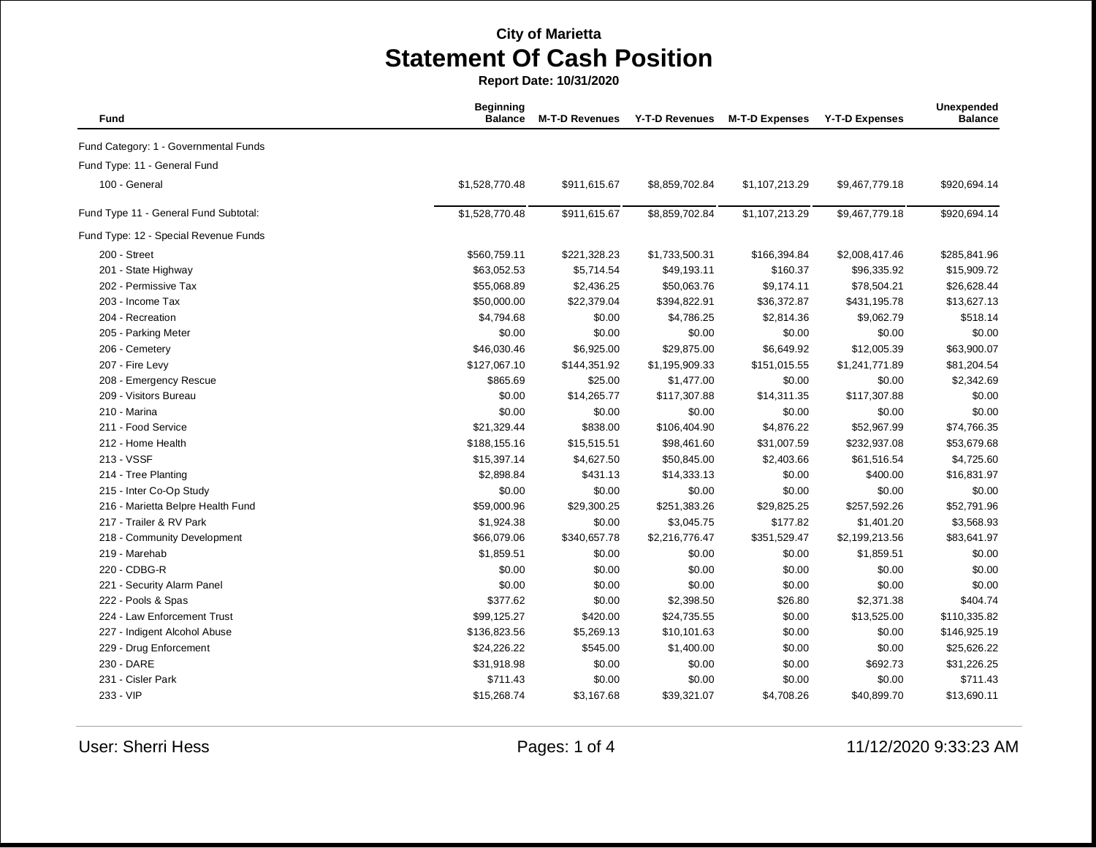**Report Date: 10/31/2020**

| <b>Fund</b>                           | <b>Beginning</b><br><b>Balance</b> | <b>M-T-D Revenues</b> | <b>Y-T-D Revenues</b> | <b>M-T-D Expenses</b> | <b>Y-T-D Expenses</b> | Unexpended<br><b>Balance</b> |
|---------------------------------------|------------------------------------|-----------------------|-----------------------|-----------------------|-----------------------|------------------------------|
| Fund Category: 1 - Governmental Funds |                                    |                       |                       |                       |                       |                              |
| Fund Type: 11 - General Fund          |                                    |                       |                       |                       |                       |                              |
| 100 - General                         | \$1,528,770.48                     | \$911,615.67          | \$8,859,702.84        | \$1,107,213.29        | \$9,467,779.18        | \$920,694.14                 |
| Fund Type 11 - General Fund Subtotal: | \$1,528,770.48                     | \$911,615.67          | \$8,859,702.84        | \$1,107,213.29        | \$9,467,779.18        | \$920,694.14                 |
| Fund Type: 12 - Special Revenue Funds |                                    |                       |                       |                       |                       |                              |
| 200 - Street                          | \$560,759.11                       | \$221,328.23          | \$1,733,500.31        | \$166,394.84          | \$2,008,417.46        | \$285,841.96                 |
| 201 - State Highway                   | \$63,052.53                        | \$5,714.54            | \$49,193.11           | \$160.37              | \$96,335.92           | \$15,909.72                  |
| 202 - Permissive Tax                  | \$55,068.89                        | \$2,436.25            | \$50,063.76           | \$9,174.11            | \$78,504.21           | \$26,628.44                  |
| 203 - Income Tax                      | \$50,000.00                        | \$22,379.04           | \$394,822.91          | \$36,372.87           | \$431,195.78          | \$13,627.13                  |
| 204 - Recreation                      | \$4,794.68                         | \$0.00                | \$4,786.25            | \$2,814.36            | \$9,062.79            | \$518.14                     |
| 205 - Parking Meter                   | \$0.00                             | \$0.00                | \$0.00                | \$0.00                | \$0.00                | \$0.00                       |
| 206 - Cemetery                        | \$46,030.46                        | \$6,925.00            | \$29,875.00           | \$6,649.92            | \$12,005.39           | \$63,900.07                  |
| 207 - Fire Levy                       | \$127,067.10                       | \$144,351.92          | \$1,195,909.33        | \$151,015.55          | \$1,241,771.89        | \$81,204.54                  |
| 208 - Emergency Rescue                | \$865.69                           | \$25.00               | \$1,477.00            | \$0.00                | \$0.00                | \$2,342.69                   |
| 209 - Visitors Bureau                 | \$0.00                             | \$14,265.77           | \$117,307.88          | \$14,311.35           | \$117,307.88          | \$0.00                       |
| 210 - Marina                          | \$0.00                             | \$0.00                | \$0.00                | \$0.00                | \$0.00                | \$0.00                       |
| 211 - Food Service                    | \$21,329.44                        | \$838.00              | \$106,404.90          | \$4,876.22            | \$52,967.99           | \$74,766.35                  |
| 212 - Home Health                     | \$188,155.16                       | \$15,515.51           | \$98,461.60           | \$31,007.59           | \$232,937.08          | \$53,679.68                  |
| 213 - VSSF                            | \$15,397.14                        | \$4,627.50            | \$50,845.00           | \$2,403.66            | \$61,516.54           | \$4,725.60                   |
| 214 - Tree Planting                   | \$2,898.84                         | \$431.13              | \$14,333.13           | \$0.00                | \$400.00              | \$16,831.97                  |
| 215 - Inter Co-Op Study               | \$0.00                             | \$0.00                | \$0.00                | \$0.00                | \$0.00                | \$0.00                       |
| 216 - Marietta Belpre Health Fund     | \$59,000.96                        | \$29,300.25           | \$251,383.26          | \$29,825.25           | \$257,592.26          | \$52,791.96                  |
| 217 - Trailer & RV Park               | \$1,924.38                         | \$0.00                | \$3,045.75            | \$177.82              | \$1,401.20            | \$3,568.93                   |
| 218 - Community Development           | \$66,079.06                        | \$340,657.78          | \$2,216,776.47        | \$351,529.47          | \$2,199,213.56        | \$83,641.97                  |
| 219 - Marehab                         | \$1,859.51                         | \$0.00                | \$0.00                | \$0.00                | \$1,859.51            | \$0.00                       |
| 220 - CDBG-R                          | \$0.00                             | \$0.00                | \$0.00                | \$0.00                | \$0.00                | \$0.00                       |
| 221 - Security Alarm Panel            | \$0.00                             | \$0.00                | \$0.00                | \$0.00                | \$0.00                | \$0.00                       |
| 222 - Pools & Spas                    | \$377.62                           | \$0.00                | \$2,398.50            | \$26.80               | \$2,371.38            | \$404.74                     |
| 224 - Law Enforcement Trust           | \$99,125.27                        | \$420.00              | \$24,735.55           | \$0.00                | \$13,525.00           | \$110,335.82                 |
| 227 - Indigent Alcohol Abuse          | \$136,823.56                       | \$5,269.13            | \$10,101.63           | \$0.00                | \$0.00                | \$146,925.19                 |
| 229 - Drug Enforcement                | \$24,226.22                        | \$545.00              | \$1,400.00            | \$0.00                | \$0.00                | \$25,626.22                  |
| 230 - DARE                            | \$31,918.98                        | \$0.00                | \$0.00                | \$0.00                | \$692.73              | \$31,226.25                  |
| 231 - Cisler Park                     | \$711.43                           | \$0.00                | \$0.00                | \$0.00                | \$0.00                | \$711.43                     |
| 233 - VIP                             | \$15,268.74                        | \$3,167.68            | \$39,321.07           | \$4,708.26            | \$40,899.70           | \$13,690.11                  |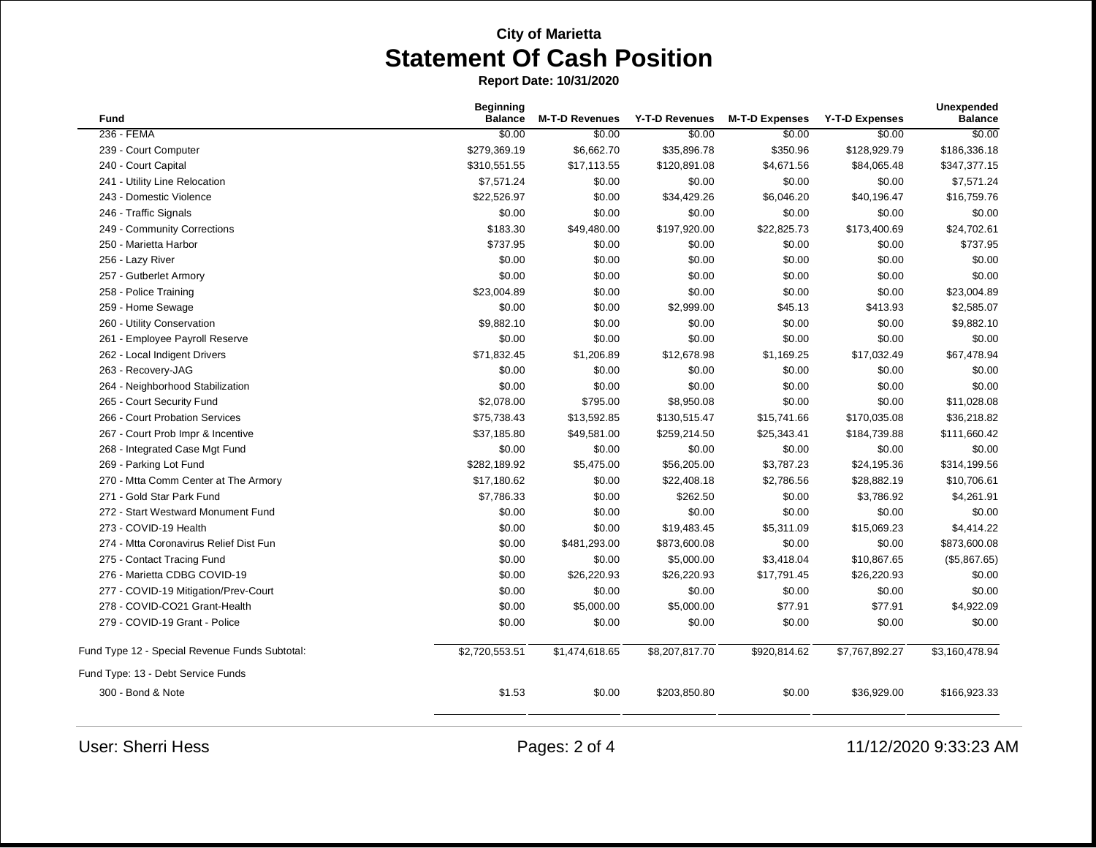**Report Date: 10/31/2020**

| <b>Fund</b>                                    | <b>Beginning</b><br><b>Balance</b> | <b>M-T-D Revenues</b> | Y-T-D Revenues | <b>M-T-D Expenses</b> | <b>Y-T-D Expenses</b> | Unexpended<br><b>Balance</b> |
|------------------------------------------------|------------------------------------|-----------------------|----------------|-----------------------|-----------------------|------------------------------|
| 236 - FEMA                                     | \$0.00                             | \$0.00                | \$0.00         | \$0.00                | \$0.00                | \$0.00                       |
| 239 - Court Computer                           | \$279,369.19                       | \$6,662.70            | \$35,896.78    | \$350.96              | \$128,929.79          | \$186,336.18                 |
| 240 - Court Capital                            | \$310,551.55                       | \$17,113.55           | \$120,891.08   | \$4,671.56            | \$84,065.48           | \$347,377.15                 |
| 241 - Utility Line Relocation                  | \$7,571.24                         | \$0.00                | \$0.00         | \$0.00                | \$0.00                | \$7,571.24                   |
| 243 - Domestic Violence                        | \$22,526.97                        | \$0.00                | \$34,429.26    | \$6,046.20            | \$40,196.47           | \$16,759.76                  |
| 246 - Traffic Signals                          | \$0.00                             | \$0.00                | \$0.00         | \$0.00                | \$0.00                | \$0.00                       |
| 249 - Community Corrections                    | \$183.30                           | \$49,480.00           | \$197,920.00   | \$22,825.73           | \$173,400.69          | \$24,702.61                  |
| 250 - Marietta Harbor                          | \$737.95                           | \$0.00                | \$0.00         | \$0.00                | \$0.00                | \$737.95                     |
| 256 - Lazy River                               | \$0.00                             | \$0.00                | \$0.00         | \$0.00                | \$0.00                | \$0.00                       |
| 257 - Gutberlet Armory                         | \$0.00                             | \$0.00                | \$0.00         | \$0.00                | \$0.00                | \$0.00                       |
| 258 - Police Training                          | \$23,004.89                        | \$0.00                | \$0.00         | \$0.00                | \$0.00                | \$23,004.89                  |
| 259 - Home Sewage                              | \$0.00                             | \$0.00                | \$2,999.00     | \$45.13               | \$413.93              | \$2,585.07                   |
| 260 - Utility Conservation                     | \$9,882.10                         | \$0.00                | \$0.00         | \$0.00                | \$0.00                | \$9,882.10                   |
| 261 - Employee Payroll Reserve                 | \$0.00                             | \$0.00                | \$0.00         | \$0.00                | \$0.00                | \$0.00                       |
| 262 - Local Indigent Drivers                   | \$71,832.45                        | \$1,206.89            | \$12,678.98    | \$1,169.25            | \$17,032.49           | \$67,478.94                  |
| 263 - Recovery-JAG                             | \$0.00                             | \$0.00                | \$0.00         | \$0.00                | \$0.00                | \$0.00                       |
| 264 - Neighborhood Stabilization               | \$0.00                             | \$0.00                | \$0.00         | \$0.00                | \$0.00                | \$0.00                       |
| 265 - Court Security Fund                      | \$2,078.00                         | \$795.00              | \$8,950.08     | \$0.00                | \$0.00                | \$11,028.08                  |
| 266 - Court Probation Services                 | \$75,738.43                        | \$13,592.85           | \$130,515.47   | \$15,741.66           | \$170,035.08          | \$36,218.82                  |
| 267 - Court Prob Impr & Incentive              | \$37,185.80                        | \$49,581.00           | \$259,214.50   | \$25,343.41           | \$184,739.88          | \$111,660.42                 |
| 268 - Integrated Case Mgt Fund                 | \$0.00                             | \$0.00                | \$0.00         | \$0.00                | \$0.00                | \$0.00                       |
| 269 - Parking Lot Fund                         | \$282,189.92                       | \$5,475.00            | \$56,205.00    | \$3,787.23            | \$24,195.36           | \$314,199.56                 |
| 270 - Mtta Comm Center at The Armory           | \$17,180.62                        | \$0.00                | \$22,408.18    | \$2,786.56            | \$28,882.19           | \$10,706.61                  |
| 271 - Gold Star Park Fund                      | \$7,786.33                         | \$0.00                | \$262.50       | \$0.00                | \$3,786.92            | \$4,261.91                   |
| 272 - Start Westward Monument Fund             | \$0.00                             | \$0.00                | \$0.00         | \$0.00                | \$0.00                | \$0.00                       |
| 273 - COVID-19 Health                          | \$0.00                             | \$0.00                | \$19,483.45    | \$5,311.09            | \$15,069.23           | \$4,414.22                   |
| 274 - Mtta Coronavirus Relief Dist Fun         | \$0.00                             | \$481,293.00          | \$873,600.08   | \$0.00                | \$0.00                | \$873,600.08                 |
| 275 - Contact Tracing Fund                     | \$0.00                             | \$0.00                | \$5,000.00     | \$3,418.04            | \$10,867.65           | (\$5,867.65)                 |
| 276 - Marietta CDBG COVID-19                   | \$0.00                             | \$26,220.93           | \$26,220.93    | \$17,791.45           | \$26,220.93           | \$0.00                       |
| 277 - COVID-19 Mitigation/Prev-Court           | \$0.00                             | \$0.00                | \$0.00         | \$0.00                | \$0.00                | \$0.00                       |
| 278 - COVID-CO21 Grant-Health                  | \$0.00                             | \$5,000.00            | \$5,000.00     | \$77.91               | \$77.91               | \$4,922.09                   |
| 279 - COVID-19 Grant - Police                  | \$0.00                             | \$0.00                | \$0.00         | \$0.00                | \$0.00                | \$0.00                       |
| Fund Type 12 - Special Revenue Funds Subtotal: | \$2,720,553.51                     | \$1,474,618.65        | \$8,207,817.70 | \$920,814.62          | \$7,767,892.27        | \$3,160,478.94               |
| Fund Type: 13 - Debt Service Funds             |                                    |                       |                |                       |                       |                              |
| 300 - Bond & Note                              | \$1.53                             | \$0.00                | \$203,850.80   | \$0.00                | \$36,929.00           | \$166,923.33                 |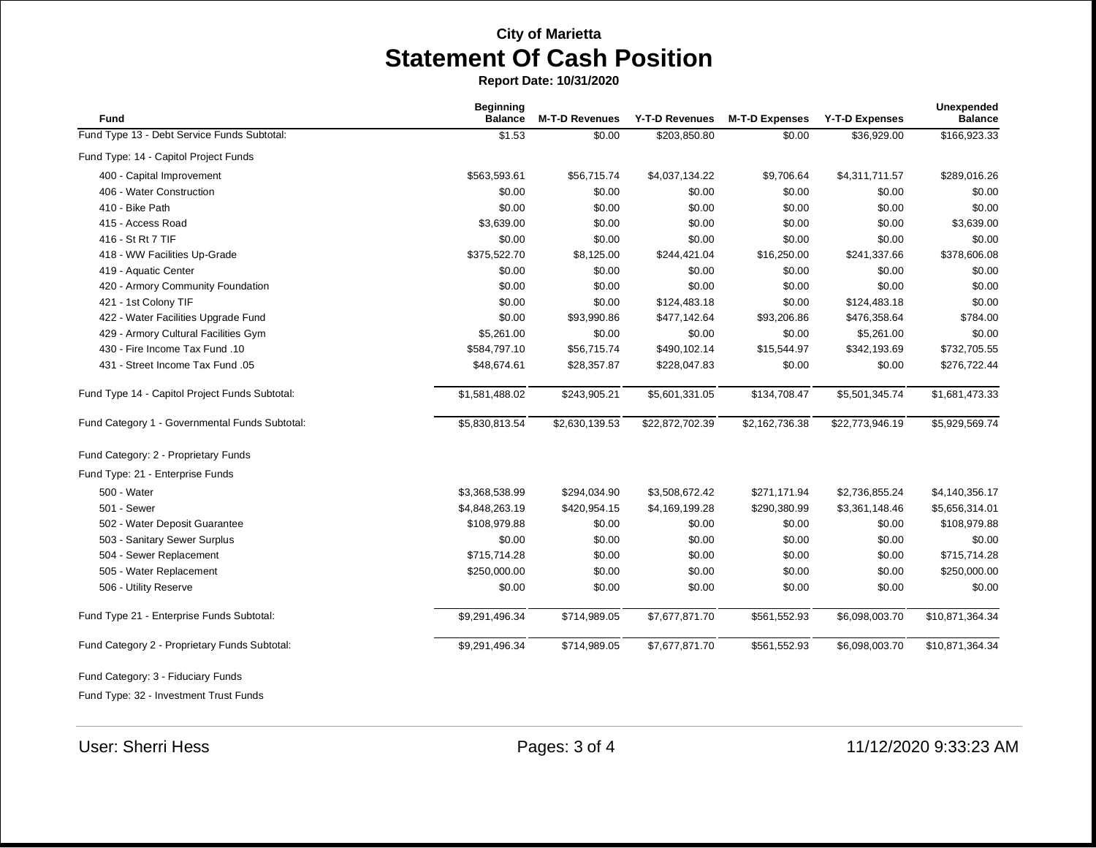**Report Date: 10/31/2020**

| Fund                                           | <b>Beginning</b><br><b>Balance</b> | <b>M-T-D Revenues</b> | Y-T-D Revenues  | <b>M-T-D Expenses</b> | <b>Y-T-D Expenses</b> | <b>Unexpended</b><br><b>Balance</b> |
|------------------------------------------------|------------------------------------|-----------------------|-----------------|-----------------------|-----------------------|-------------------------------------|
| Fund Type 13 - Debt Service Funds Subtotal:    | \$1.53                             | \$0.00                | \$203,850.80    | \$0.00                | \$36,929.00           | \$166,923.33                        |
| Fund Type: 14 - Capitol Project Funds          |                                    |                       |                 |                       |                       |                                     |
| 400 - Capital Improvement                      | \$563,593.61                       | \$56,715.74           | \$4,037,134.22  | \$9,706.64            | \$4,311,711.57        | \$289,016.26                        |
| 406 - Water Construction                       | \$0.00                             | \$0.00                | \$0.00          | \$0.00                | \$0.00                | \$0.00                              |
| 410 - Bike Path                                | \$0.00                             | \$0.00                | \$0.00          | \$0.00                | \$0.00                | \$0.00                              |
| 415 - Access Road                              | \$3,639.00                         | \$0.00                | \$0.00          | \$0.00                | \$0.00                | \$3,639.00                          |
| 416 - St Rt 7 TIF                              | \$0.00                             | \$0.00                | \$0.00          | \$0.00                | \$0.00                | \$0.00                              |
| 418 - WW Facilities Up-Grade                   | \$375,522.70                       | \$8,125.00            | \$244,421.04    | \$16,250.00           | \$241,337.66          | \$378,606.08                        |
| 419 - Aquatic Center                           | \$0.00                             | \$0.00                | \$0.00          | \$0.00                | \$0.00                | \$0.00                              |
| 420 - Armory Community Foundation              | \$0.00                             | \$0.00                | \$0.00          | \$0.00                | \$0.00                | \$0.00                              |
| 421 - 1st Colony TIF                           | \$0.00                             | \$0.00                | \$124,483.18    | \$0.00                | \$124,483.18          | \$0.00                              |
| 422 - Water Facilities Upgrade Fund            | \$0.00                             | \$93,990.86           | \$477,142.64    | \$93,206.86           | \$476,358.64          | \$784.00                            |
| 429 - Armory Cultural Facilities Gym           | \$5,261.00                         | \$0.00                | \$0.00          | \$0.00                | \$5,261.00            | \$0.00                              |
| 430 - Fire Income Tax Fund .10                 | \$584,797.10                       | \$56,715.74           | \$490,102.14    | \$15,544.97           | \$342,193.69          | \$732,705.55                        |
| 431 - Street Income Tax Fund .05               | \$48,674.61                        | \$28,357.87           | \$228,047.83    | \$0.00                | \$0.00                | \$276,722.44                        |
| Fund Type 14 - Capitol Project Funds Subtotal: | \$1,581,488.02                     | \$243,905.21          | \$5,601,331.05  | \$134,708.47          | \$5,501,345.74        | \$1,681,473.33                      |
| Fund Category 1 - Governmental Funds Subtotal: | \$5,830,813.54                     | \$2,630,139.53        | \$22,872,702.39 | \$2,162,736.38        | \$22,773,946.19       | \$5,929,569.74                      |
| Fund Category: 2 - Proprietary Funds           |                                    |                       |                 |                       |                       |                                     |
| Fund Type: 21 - Enterprise Funds               |                                    |                       |                 |                       |                       |                                     |
| 500 - Water                                    | \$3,368,538.99                     | \$294,034.90          | \$3,508,672.42  | \$271,171.94          | \$2,736,855.24        | \$4,140,356.17                      |
| 501 - Sewer                                    | \$4,848,263.19                     | \$420,954.15          | \$4,169,199.28  | \$290,380.99          | \$3,361,148.46        | \$5,656,314.01                      |
| 502 - Water Deposit Guarantee                  | \$108,979.88                       | \$0.00                | \$0.00          | \$0.00                | \$0.00                | \$108,979.88                        |
| 503 - Sanitary Sewer Surplus                   | \$0.00                             | \$0.00                | \$0.00          | \$0.00                | \$0.00                | \$0.00                              |
| 504 - Sewer Replacement                        | \$715,714.28                       | \$0.00                | \$0.00          | \$0.00                | \$0.00                | \$715,714.28                        |
| 505 - Water Replacement                        | \$250,000.00                       | \$0.00                | \$0.00          | \$0.00                | \$0.00                | \$250,000.00                        |
| 506 - Utility Reserve                          | \$0.00                             | \$0.00                | \$0.00          | \$0.00                | \$0.00                | \$0.00                              |
| Fund Type 21 - Enterprise Funds Subtotal:      | \$9,291,496.34                     | \$714,989.05          | \$7,677,871.70  | \$561,552.93          | \$6,098,003.70        | \$10,871,364.34                     |
| Fund Category 2 - Proprietary Funds Subtotal:  | \$9,291,496.34                     | \$714,989.05          | \$7,677,871.70  | \$561,552.93          | \$6,098,003.70        | \$10,871,364.34                     |
| Fund Category: 3 - Fiduciary Funds             |                                    |                       |                 |                       |                       |                                     |

Fund Type: 32 - Investment Trust Funds